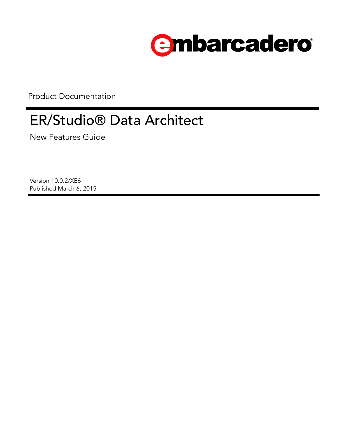

Product Documentation

# ER/Studio® Data Architect

New Features Guide

Version 10.0.2/XE6 Published March 6, 2015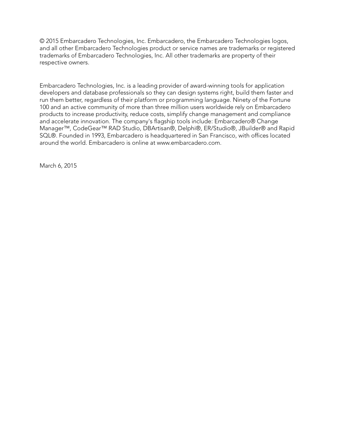© 2015 Embarcadero Technologies, Inc. Embarcadero, the Embarcadero Technologies logos, and all other Embarcadero Technologies product or service names are trademarks or registered trademarks of Embarcadero Technologies, Inc. All other trademarks are property of their respective owners.

Embarcadero Technologies, Inc. is a leading provider of award-winning tools for application developers and database professionals so they can design systems right, build them faster and run them better, regardless of their platform or programming language. Ninety of the Fortune 100 and an active community of more than three million users worldwide rely on Embarcadero products to increase productivity, reduce costs, simplify change management and compliance and accelerate innovation. The company's flagship tools include: Embarcadero® Change Manager™, CodeGear™ RAD Studio, DBArtisan®, Delphi®, ER/Studio®, JBuilder® and Rapid SQL®. Founded in 1993, Embarcadero is headquartered in San Francisco, with offices located around the world. Embarcadero is online at www.embarcadero.com.

March 6, 2015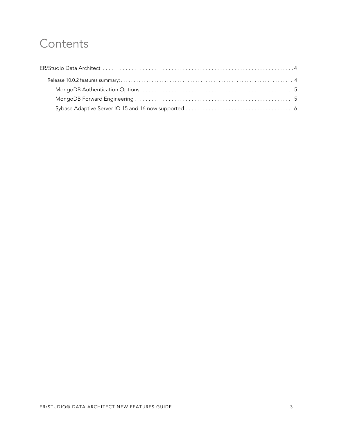### **Contents**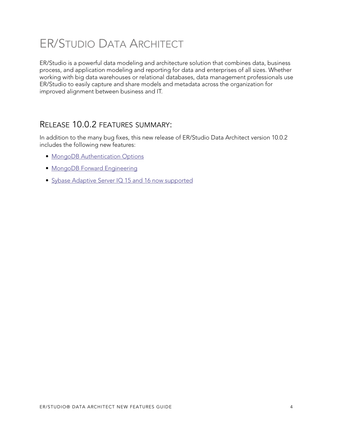## <span id="page-3-0"></span>ER/STUDIO DATA ARCHITECT

ER/Studio is a powerful data modeling and architecture solution that combines data, business process, and application modeling and reporting for data and enterprises of all sizes. Whether working with big data warehouses or relational databases, data management professionals use ER/Studio to easily capture and share models and metadata across the organization for improved alignment between business and IT.

#### <span id="page-3-1"></span>RELEASE 10.0.2 FEATURES SUMMARY:

In addition to the many bug fixes, this new release of ER/Studio Data Architect version 10.0.2 includes the following new features:

- [MongoDB Authentication Options](#page-4-0)
- [MongoDB Forward Engineering](#page-4-1)
- [Sybase Adaptive Server IQ 15 and 16 now supported](#page-5-0)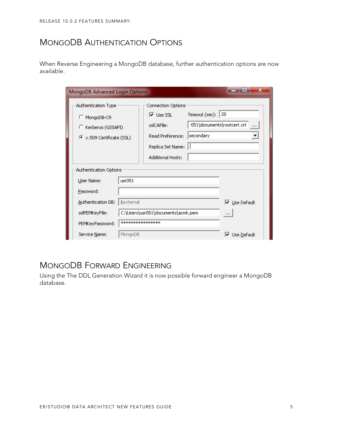#### <span id="page-4-0"></span>MONGODB AUTHENTICATION OPTIONS

When Reverse Engineering a MongoDB database, further authentication options are now available.

| x<br>MongoDB Advanced Login Options       |                                      |                                         |  |  |
|-------------------------------------------|--------------------------------------|-----------------------------------------|--|--|
| Authentication Type<br>Connection Options |                                      |                                         |  |  |
| C MongoDB-CR                              | Timeout (sec):<br>$\nabla$ Lise SSL. | 20                                      |  |  |
| C Kerberos (GSSAPI)                       | sslCAFile:                           | <051\documents\rootcert.crt<br>$\cdots$ |  |  |
| X.509 Certificate (SSL)                   | secondary<br>Read Preference:        |                                         |  |  |
|                                           | Replica Set Name:                    |                                         |  |  |
|                                           | <b>Additional Hosts:</b>             |                                         |  |  |
| Authentication Options                    |                                      |                                         |  |  |
| usr051<br>User Name:                      |                                      |                                         |  |  |
| Password:                                 |                                      |                                         |  |  |
| \$external<br>Authentication DB:          |                                      | l <b>⊽</b> Use Default                  |  |  |
| sslPEMKeyFile:                            | C:\Users\usr051\documents\acmk.pem   | $\cdots$                                |  |  |
| PEMKeyPassword:                           | *****************                    |                                         |  |  |
| Service Name:<br>MongoDB                  |                                      | ⊽<br>Use Default                        |  |  |

#### <span id="page-4-1"></span>MONGODB FORWARD ENGINEERING

Using the The DDL Generation Wizard it is now possible forward engineer a MongoDB database.